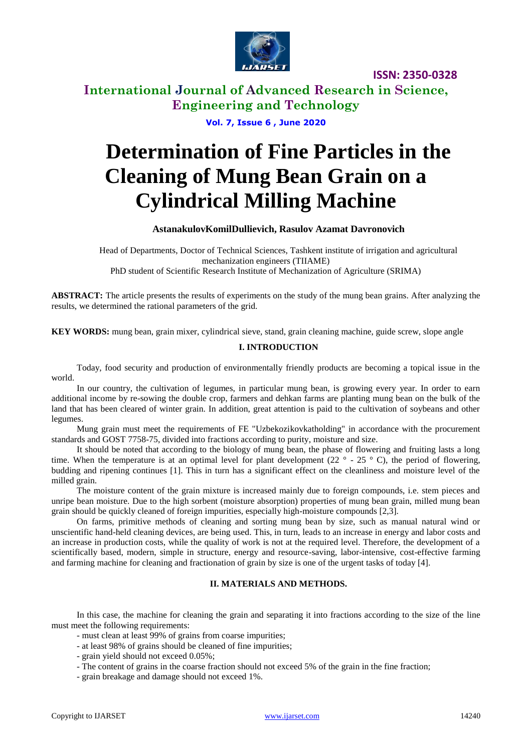

**ISSN: 2350-0328**

# **International Journal of Advanced Research in Science, Engineering and Technology**

**Vol. 7, Issue 6 , June 2020**

# **Determination of Fine Particles in the Cleaning of Mung Bean Grain on a Cylindrical Milling Machine**

#### **AstanakulovKomilDullievich, Rasulov Azamat Davronovich**

Head of Departments, Doctor of Technical Sciences, Tashkent institute of irrigation and agricultural mechanization engineers (TIIAME) PhD student of Scientific Research Institute of Mechanization of Agriculture (SRIMA)

**ABSTRACT:** The article presents the results of experiments on the study of the mung bean grains. After analyzing the results, we determined the rational parameters of the grid.

**KEY WORDS:** mung bean, grain mixer, cylindrical sieve, stand, grain cleaning machine, guide screw, slope angle

#### **I. INTRODUCTION**

Today, food security and production of environmentally friendly products are becoming a topical issue in the world.

In our country, the cultivation of legumes, in particular mung bean, is growing every year. In order to earn additional income by re-sowing the double crop, farmers and dehkan farms are planting mung bean on the bulk of the land that has been cleared of winter grain. In addition, great attention is paid to the cultivation of soybeans and other legumes.

Mung grain must meet the requirements of FE "Uzbekozikovkatholding" in accordance with the procurement standards and GOST 7758-75, divided into fractions according to purity, moisture and size.

It should be noted that according to the biology of mung bean, the phase of flowering and fruiting lasts a long time. When the temperature is at an optimal level for plant development  $(22^\circ - 25^\circ \text{C})$ , the period of flowering, budding and ripening continues [1]. This in turn has a significant effect on the cleanliness and moisture level of the milled grain.

The moisture content of the grain mixture is increased mainly due to foreign compounds, i.e. stem pieces and unripe bean moisture. Due to the high sorbent (moisture absorption) properties of mung bean grain, milled mung bean grain should be quickly cleaned of foreign impurities, especially high-moisture compounds [2,3].

On farms, primitive methods of cleaning and sorting mung bean by size, such as manual natural wind or unscientific hand-held cleaning devices, are being used. This, in turn, leads to an increase in energy and labor costs and an increase in production costs, while the quality of work is not at the required level. Therefore, the development of a scientifically based, modern, simple in structure, energy and resource-saving, labor-intensive, cost-effective farming and farming machine for cleaning and fractionation of grain by size is one of the urgent tasks of today [4].

#### **II. MATERIALS AND METHODS.**

In this case, the machine for cleaning the grain and separating it into fractions according to the size of the line must meet the following requirements:

- must clean at least 99% of grains from coarse impurities;
- at least 98% of grains should be cleaned of fine impurities;
- grain yield should not exceed 0.05%;
- The content of grains in the coarse fraction should not exceed 5% of the grain in the fine fraction;
- grain breakage and damage should not exceed 1%.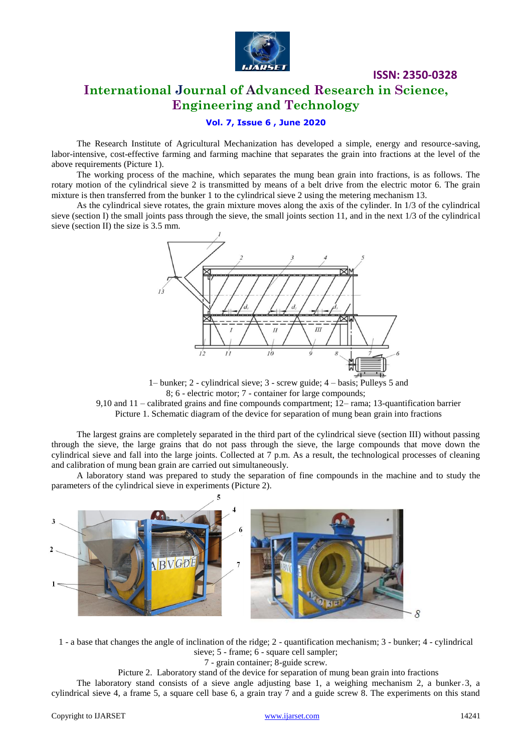

### **ISSN: 2350-0328**

# **International Journal of Advanced Research in Science, Engineering and Technology**

#### **Vol. 7, Issue 6 , June 2020**

The Research Institute of Agricultural Mechanization has developed a simple, energy and resource-saving, labor-intensive, cost-effective farming and farming machine that separates the grain into fractions at the level of the above requirements (Picture 1).

The working process of the machine, which separates the mung bean grain into fractions, is as follows. The rotary motion of the cylindrical sieve 2 is transmitted by means of a belt drive from the electric motor 6. The grain mixture is then transferred from the bunker 1 to the cylindrical sieve 2 using the metering mechanism 13.

As the cylindrical sieve rotates, the grain mixture moves along the axis of the cylinder. In 1/3 of the cylindrical sieve (section I) the small joints pass through the sieve, the small joints section 11, and in the next 1/3 of the cylindrical sieve (section II) the size is 3.5 mm.



1– bunker; 2 - cylindrical sieve; 3 - screw guide; 4 – basis; Pulleys 5 and 8; 6 - electric motor; 7 - container for large compounds;

9,10 and 11 – calibrated grains and fine compounds compartment; 12– rama; 13-quantification barrier Picture 1. Schematic diagram of the device for separation of mung bean grain into fractions

The largest grains are completely separated in the third part of the cylindrical sieve (section III) without passing through the sieve, the large grains that do not pass through the sieve, the large compounds that move down the cylindrical sieve and fall into the large joints. Collected at  $\overline{7}$  p.m. As a result, the technological processes of cleaning and calibration of mung bean grain are carried out simultaneously.

A laboratory stand was prepared to study the separation of fine compounds in the machine and to study the parameters of the cylindrical sieve in experiments (Picture 2).



1 - a base that changes the angle of inclination of the ridge; 2 - quantification mechanism; 3 - bunker; 4 - cylindrical sieve; 5 - frame; 6 - square cell sampler;

7 - grain container; 8-guide screw.

Picture 2. Laboratory stand of the device for separation of mung bean grain into fractions

The laboratory stand consists of a sieve angle adjusting base 1, a weighing mechanism 2, a bunker 3, a cylindrical sieve 4, a frame 5, a square cell base 6, a grain tray 7 and a guide screw 8. The experiments on this stand